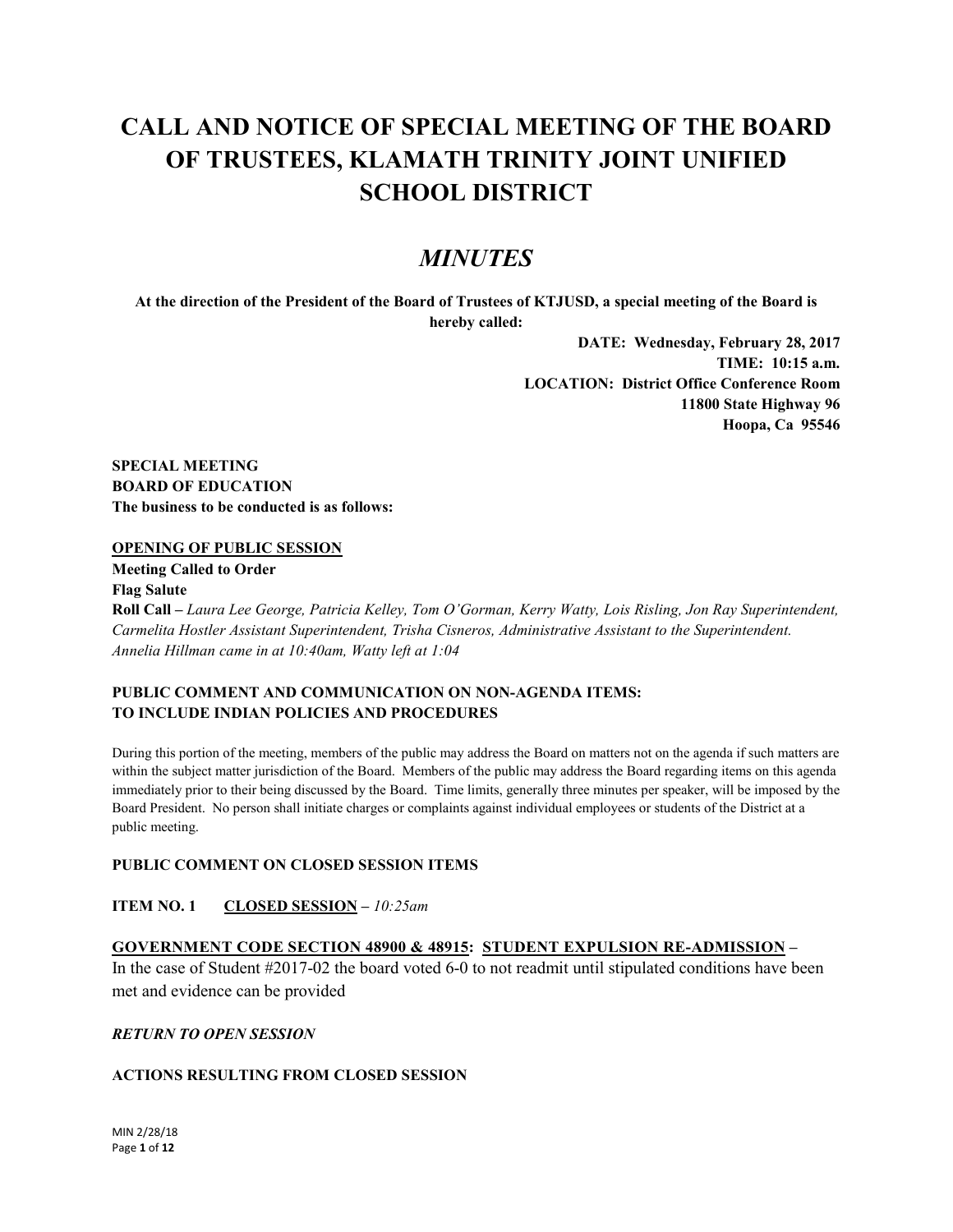# **CALL AND NOTICE OF SPECIAL MEETING OF THE BOARD OF TRUSTEES, KLAMATH TRINITY JOINT UNIFIED SCHOOL DISTRICT**

## *MINUTES*

**At the direction of the President of the Board of Trustees of KTJUSD, a special meeting of the Board is hereby called:**

> **DATE: Wednesday, February 28, 2017 TIME: 10:15 a.m. LOCATION: District Office Conference Room 11800 State Highway 96 Hoopa, Ca 95546**

**SPECIAL MEETING BOARD OF EDUCATION The business to be conducted is as follows:**

## **OPENING OF PUBLIC SESSION**

**Meeting Called to Order Flag Salute Roll Call –** *Laura Lee George, Patricia Kelley, Tom O'Gorman, Kerry Watty, Lois Risling, Jon Ray Superintendent, Carmelita Hostler Assistant Superintendent, Trisha Cisneros, Administrative Assistant to the Superintendent. Annelia Hillman came in at 10:40am, Watty left at 1:04*

## **PUBLIC COMMENT AND COMMUNICATION ON NON-AGENDA ITEMS: TO INCLUDE INDIAN POLICIES AND PROCEDURES**

During this portion of the meeting, members of the public may address the Board on matters not on the agenda if such matters are within the subject matter jurisdiction of the Board. Members of the public may address the Board regarding items on this agenda immediately prior to their being discussed by the Board. Time limits, generally three minutes per speaker, will be imposed by the Board President. No person shall initiate charges or complaints against individual employees or students of the District at a public meeting.

## **PUBLIC COMMENT ON CLOSED SESSION ITEMS**

## **ITEM NO. 1 CLOSED SESSION –** *10:25am*

## **GOVERNMENT CODE SECTION 48900 & 48915: STUDENT EXPULSION RE-ADMISSION –**

In the case of Student #2017-02 the board voted 6-0 to not readmit until stipulated conditions have been met and evidence can be provided

## *RETURN TO OPEN SESSION*

## **ACTIONS RESULTING FROM CLOSED SESSION**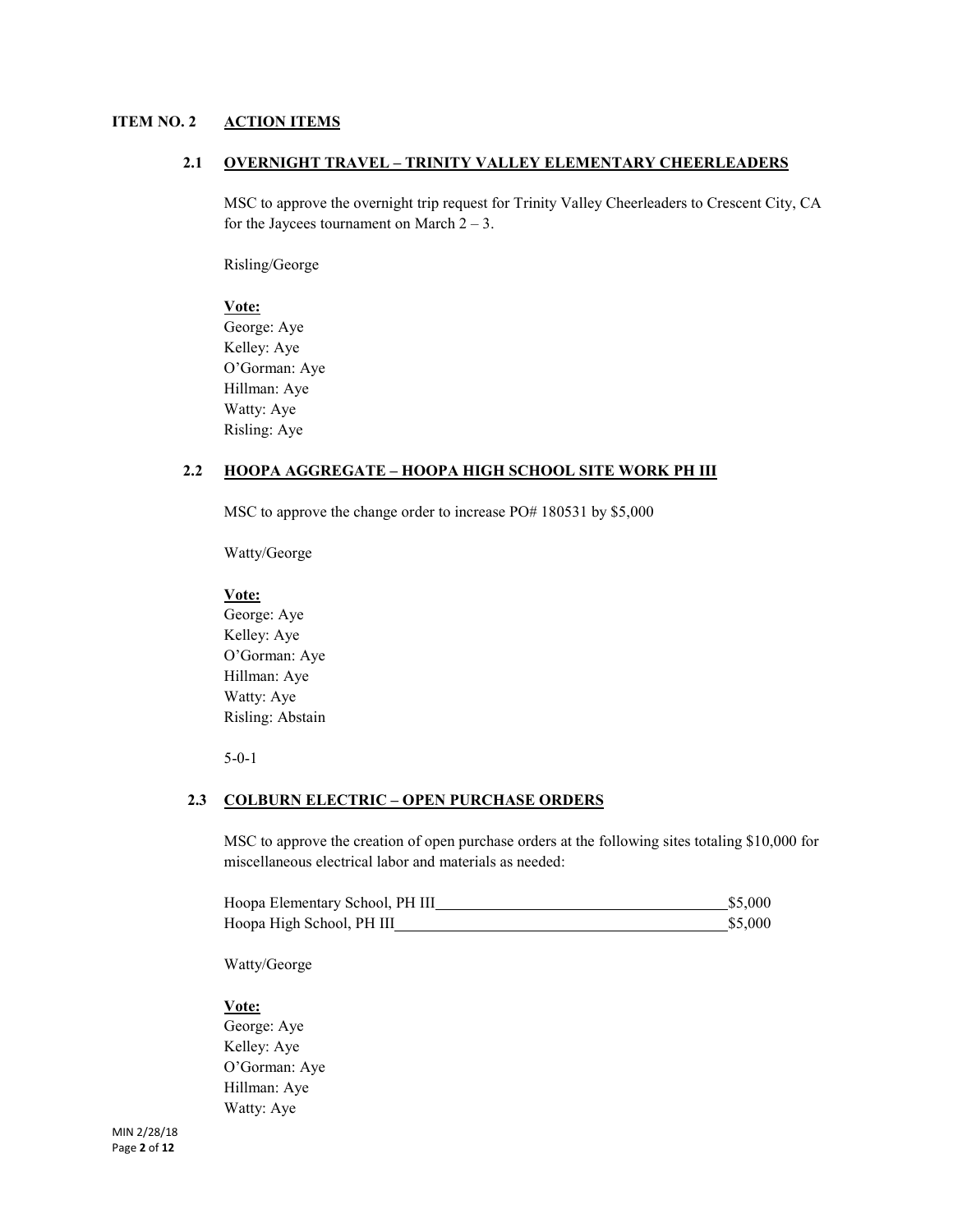## **ITEM NO. 2 ACTION ITEMS**

## **2.1 OVERNIGHT TRAVEL – TRINITY VALLEY ELEMENTARY CHEERLEADERS**

MSC to approve the overnight trip request for Trinity Valley Cheerleaders to Crescent City, CA for the Jaycees tournament on March  $2 - 3$ .

Risling/George

#### **Vote:**

George: Aye Kelley: Aye O'Gorman: Aye Hillman: Aye Watty: Aye Risling: Aye

#### **2.2 HOOPA AGGREGATE – HOOPA HIGH SCHOOL SITE WORK PH III**

MSC to approve the change order to increase PO# 180531 by \$5,000

Watty/George

#### **Vote:**

George: Aye Kelley: Aye O'Gorman: Aye Hillman: Aye Watty: Aye Risling: Abstain

5-0-1

#### **2.3 COLBURN ELECTRIC – OPEN PURCHASE ORDERS**

MSC to approve the creation of open purchase orders at the following sites totaling \$10,000 for miscellaneous electrical labor and materials as needed:

| Hoopa Elementary School, PH III | \$5,000 |
|---------------------------------|---------|
| Hoopa High School, PH III       | \$5,000 |

Watty/George

#### **Vote:**

George: Aye Kelley: Aye O'Gorman: Aye Hillman: Aye Watty: Aye

MIN 2/28/18 Page **2** of **12**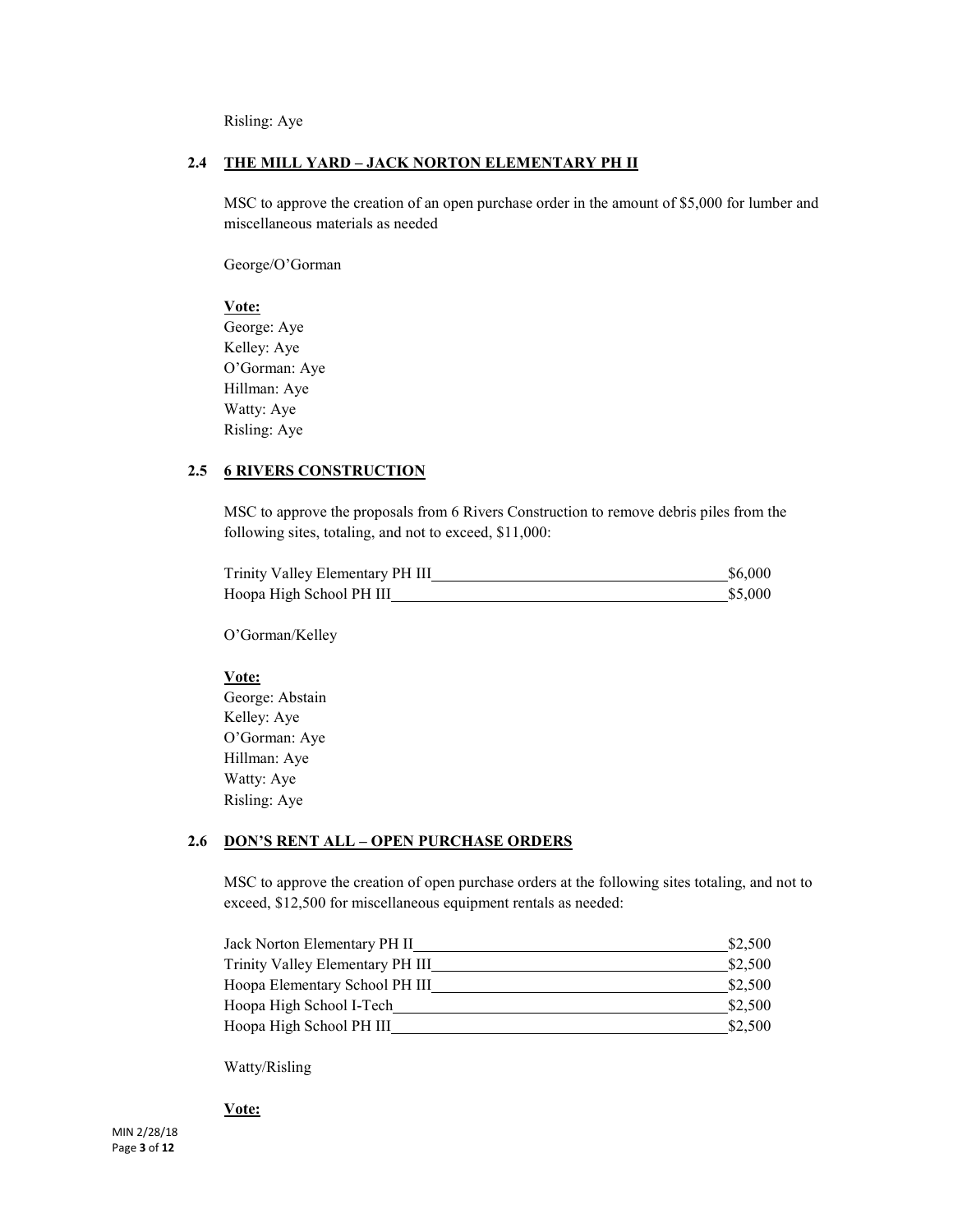Risling: Aye

## **2.4 THE MILL YARD – JACK NORTON ELEMENTARY PH II**

MSC to approve the creation of an open purchase order in the amount of \$5,000 for lumber and miscellaneous materials as needed

George/O'Gorman

## **Vote:**

George: Aye Kelley: Aye O'Gorman: Aye Hillman: Aye Watty: Aye Risling: Aye

## **2.5 6 RIVERS CONSTRUCTION**

MSC to approve the proposals from 6 Rivers Construction to remove debris piles from the following sites, totaling, and not to exceed, \$11,000:

| Trinity Valley Elementary PH III | \$6,000 |
|----------------------------------|---------|
| Hoopa High School PH III         | \$5,000 |

O'Gorman/Kelley

#### **Vote:**

George: Abstain Kelley: Aye O'Gorman: Aye Hillman: Aye Watty: Aye Risling: Aye

## **2.6 DON'S RENT ALL – OPEN PURCHASE ORDERS**

MSC to approve the creation of open purchase orders at the following sites totaling, and not to exceed, \$12,500 for miscellaneous equipment rentals as needed:

| Jack Norton Elementary PH II     | \$2,500 |
|----------------------------------|---------|
| Trinity Valley Elementary PH III | \$2,500 |
| Hoopa Elementary School PH III   | \$2,500 |
| Hoopa High School I-Tech         | \$2.500 |
| Hoopa High School PH III         | \$2,500 |

Watty/Risling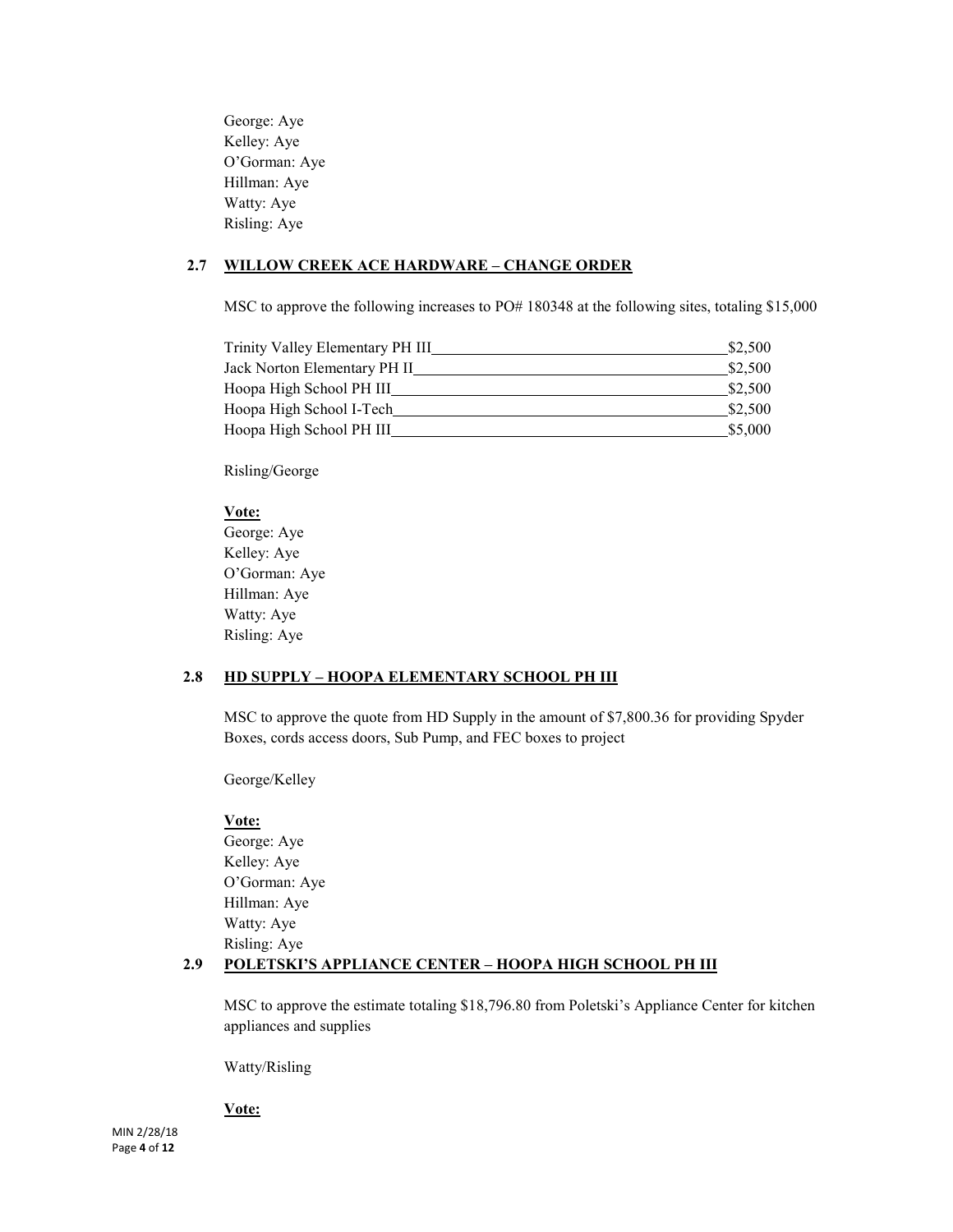George: Aye Kelley: Aye O'Gorman: Aye Hillman: Aye Watty: Aye Risling: Aye

## **2.7 WILLOW CREEK ACE HARDWARE – CHANGE ORDER**

MSC to approve the following increases to PO# 180348 at the following sites, totaling \$15,000

| Trinity Valley Elementary PH III | \$2,500 |
|----------------------------------|---------|
| Jack Norton Elementary PH II     | \$2,500 |
| Hoopa High School PH III         | \$2.500 |
| Hoopa High School I-Tech         | \$2,500 |
| Hoopa High School PH III         | \$5,000 |

Risling/George

## **Vote:**

George: Aye Kelley: Aye O'Gorman: Aye Hillman: Aye Watty: Aye Risling: Aye

#### **2.8 HD SUPPLY – HOOPA ELEMENTARY SCHOOL PH III**

MSC to approve the quote from HD Supply in the amount of \$7,800.36 for providing Spyder Boxes, cords access doors, Sub Pump, and FEC boxes to project

George/Kelley

#### **Vote:**

George: Aye Kelley: Aye O'Gorman: Aye Hillman: Aye Watty: Aye Risling: Aye

## **2.9 POLETSKI'S APPLIANCE CENTER – HOOPA HIGH SCHOOL PH III**

MSC to approve the estimate totaling \$18,796.80 from Poletski's Appliance Center for kitchen appliances and supplies

Watty/Risling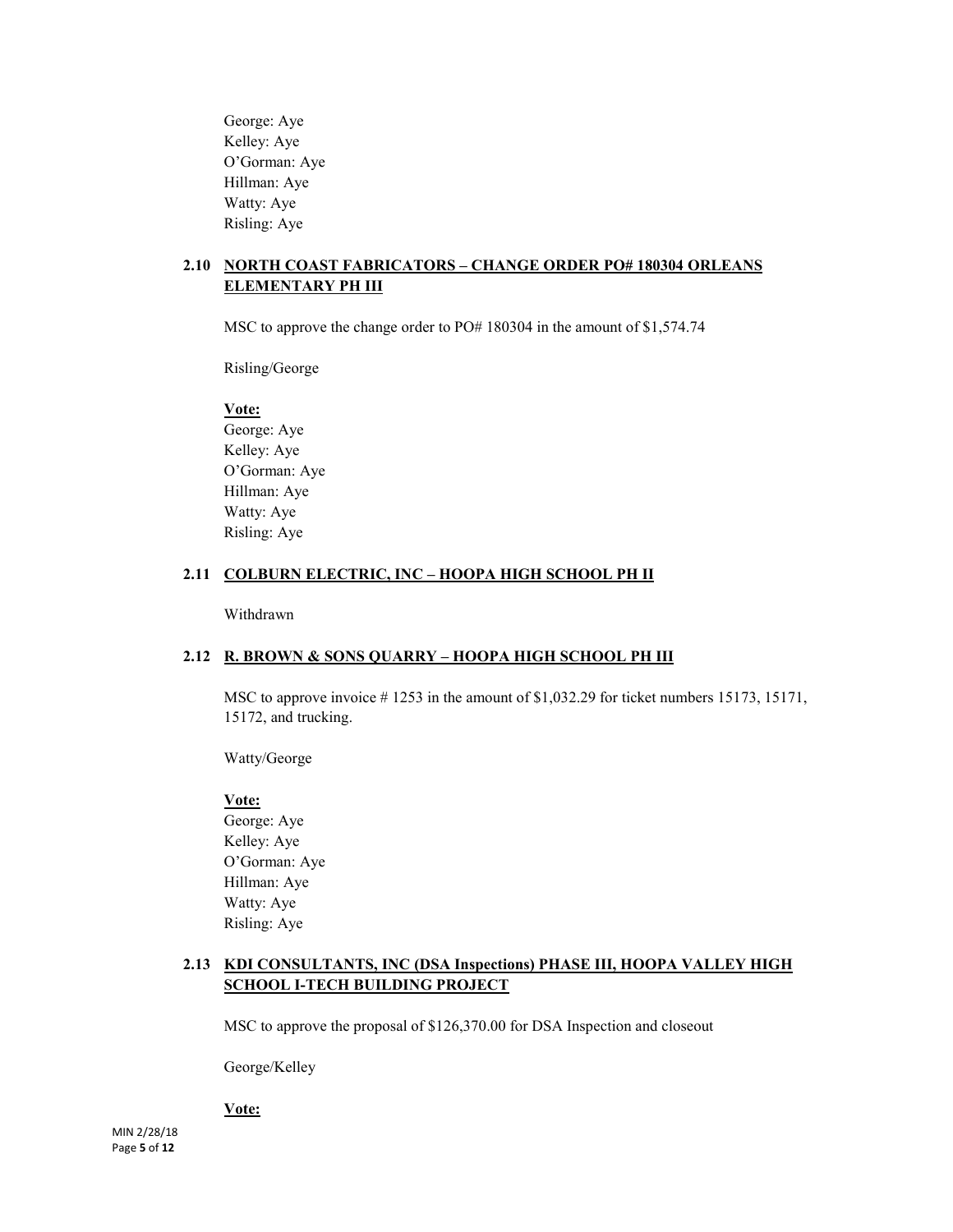George: Aye Kelley: Aye O'Gorman: Aye Hillman: Aye Watty: Aye Risling: Aye

## **2.10 NORTH COAST FABRICATORS – CHANGE ORDER PO# 180304 ORLEANS ELEMENTARY PH III**

MSC to approve the change order to PO# 180304 in the amount of \$1,574.74

Risling/George

#### **Vote:**

George: Aye Kelley: Aye O'Gorman: Aye Hillman: Aye Watty: Aye Risling: Aye

#### **2.11 COLBURN ELECTRIC, INC – HOOPA HIGH SCHOOL PH II**

Withdrawn

#### **2.12 R. BROWN & SONS QUARRY – HOOPA HIGH SCHOOL PH III**

MSC to approve invoice # 1253 in the amount of \$1,032.29 for ticket numbers 15173, 15171, 15172, and trucking.

Watty/George

#### **Vote:**

George: Aye Kelley: Aye O'Gorman: Aye Hillman: Aye Watty: Aye Risling: Aye

#### **2.13 KDI CONSULTANTS, INC (DSA Inspections) PHASE III, HOOPA VALLEY HIGH SCHOOL I-TECH BUILDING PROJECT**

MSC to approve the proposal of \$126,370.00 for DSA Inspection and closeout

George/Kelley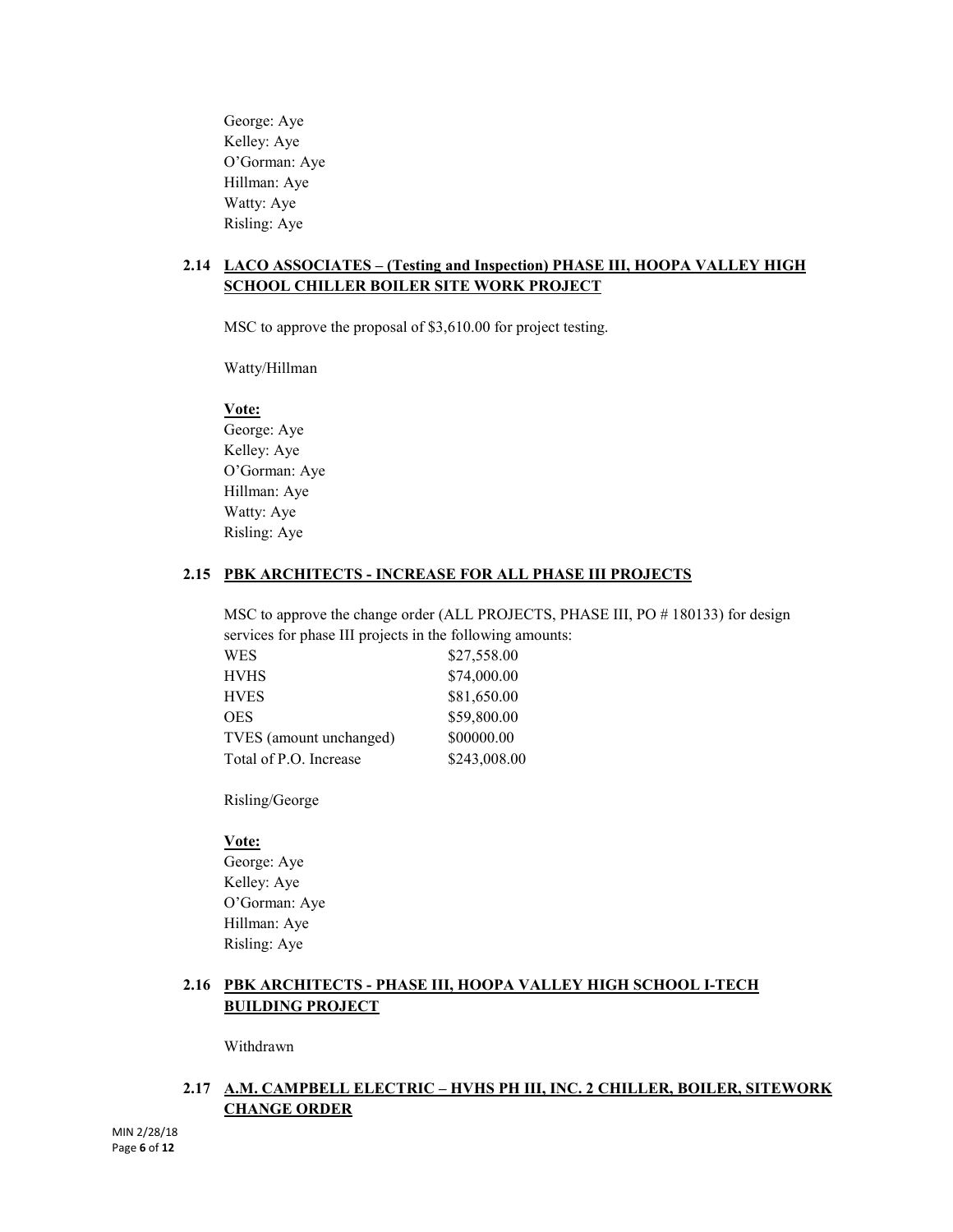George: Aye Kelley: Aye O'Gorman: Aye Hillman: Aye Watty: Aye Risling: Aye

## **2.14 LACO ASSOCIATES – (Testing and Inspection) PHASE III, HOOPA VALLEY HIGH SCHOOL CHILLER BOILER SITE WORK PROJECT**

MSC to approve the proposal of \$3,610.00 for project testing.

Watty/Hillman

## **Vote:**

George: Aye Kelley: Aye O'Gorman: Aye Hillman: Aye Watty: Aye Risling: Aye

## **2.15 PBK ARCHITECTS - INCREASE FOR ALL PHASE III PROJECTS**

MSC to approve the change order (ALL PROJECTS, PHASE III, PO # 180133) for design services for phase III projects in the following amounts:

| $\frac{1}{2}$           |              |
|-------------------------|--------------|
| <b>WES</b>              | \$27,558.00  |
| <b>HVHS</b>             | \$74,000.00  |
| <b>HVES</b>             | \$81,650.00  |
| <b>OES</b>              | \$59,800.00  |
| TVES (amount unchanged) | \$00000.00   |
| Total of P.O. Increase  | \$243,008.00 |
|                         |              |

Risling/George

#### **Vote:**

George: Aye Kelley: Aye O'Gorman: Aye Hillman: Aye Risling: Aye

## **2.16 PBK ARCHITECTS - PHASE III, HOOPA VALLEY HIGH SCHOOL I-TECH BUILDING PROJECT**

Withdrawn

## **2.17 A.M. CAMPBELL ELECTRIC – HVHS PH III, INC. 2 CHILLER, BOILER, SITEWORK CHANGE ORDER**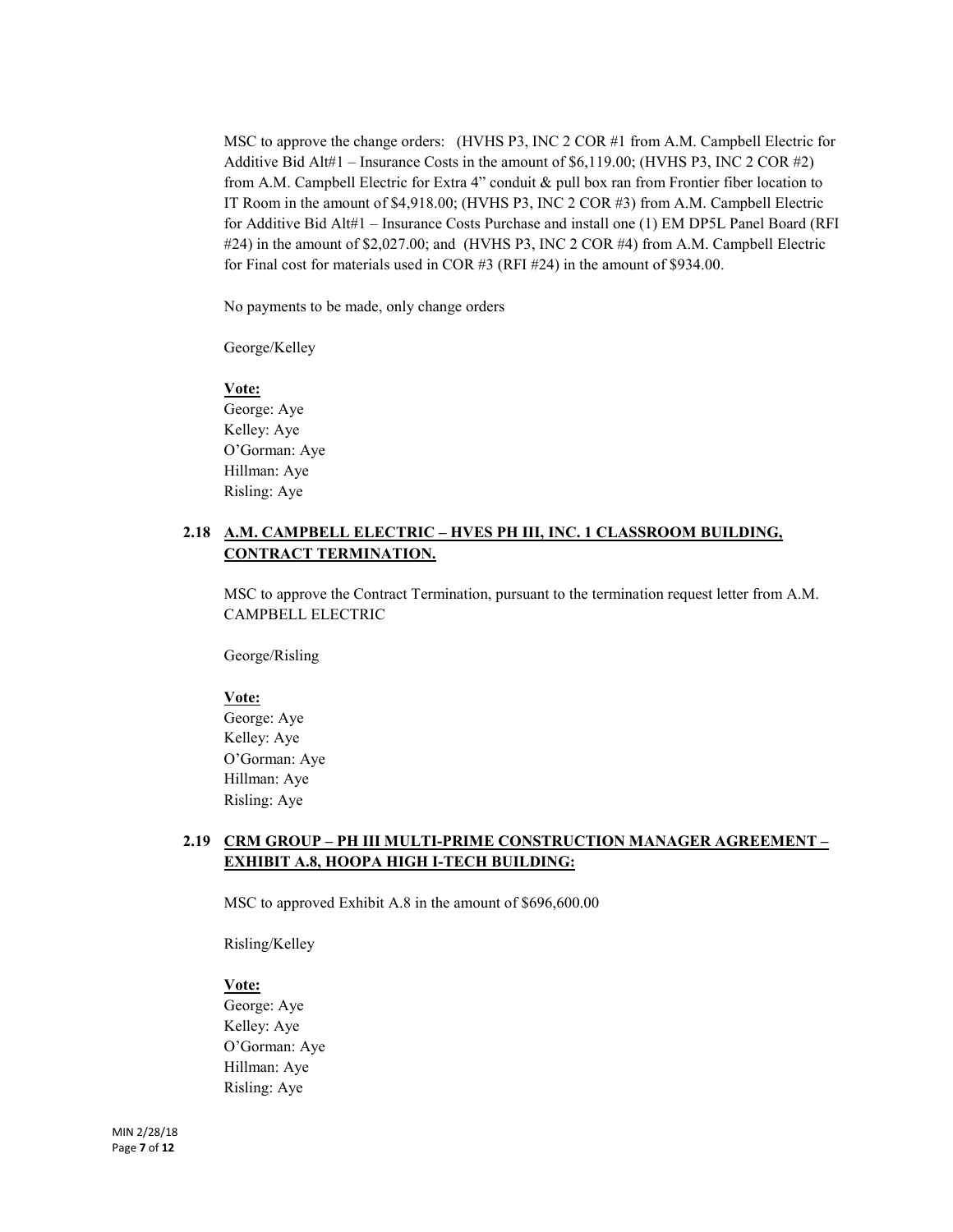MSC to approve the change orders: (HVHS P3, INC 2 COR #1 from A.M. Campbell Electric for Additive Bid Alt#1 – Insurance Costs in the amount of \$6,119.00; (HVHS P3, INC 2 COR #2) from A.M. Campbell Electric for Extra 4" conduit & pull box ran from Frontier fiber location to IT Room in the amount of \$4,918.00; (HVHS P3, INC 2 COR #3) from A.M. Campbell Electric for Additive Bid Alt#1 – Insurance Costs Purchase and install one (1) EM DP5L Panel Board (RFI #24) in the amount of \$2,027.00; and (HVHS P3, INC 2 COR #4) from A.M. Campbell Electric for Final cost for materials used in COR #3 (RFI #24) in the amount of \$934.00.

No payments to be made, only change orders

George/Kelley

#### **Vote:**

George: Aye Kelley: Aye O'Gorman: Aye Hillman: Aye Risling: Aye

## **2.18 A.M. CAMPBELL ELECTRIC – HVES PH III, INC. 1 CLASSROOM BUILDING, CONTRACT TERMINATION.**

MSC to approve the Contract Termination, pursuant to the termination request letter from A.M. CAMPBELL ELECTRIC

George/Risling

#### **Vote:**

George: Aye Kelley: Aye O'Gorman: Aye Hillman: Aye Risling: Aye

#### **2.19 CRM GROUP – PH III MULTI-PRIME CONSTRUCTION MANAGER AGREEMENT – EXHIBIT A.8, HOOPA HIGH I-TECH BUILDING:**

MSC to approved Exhibit A.8 in the amount of \$696,600.00

Risling/Kelley

**Vote:**

George: Aye Kelley: Aye O'Gorman: Aye Hillman: Aye Risling: Aye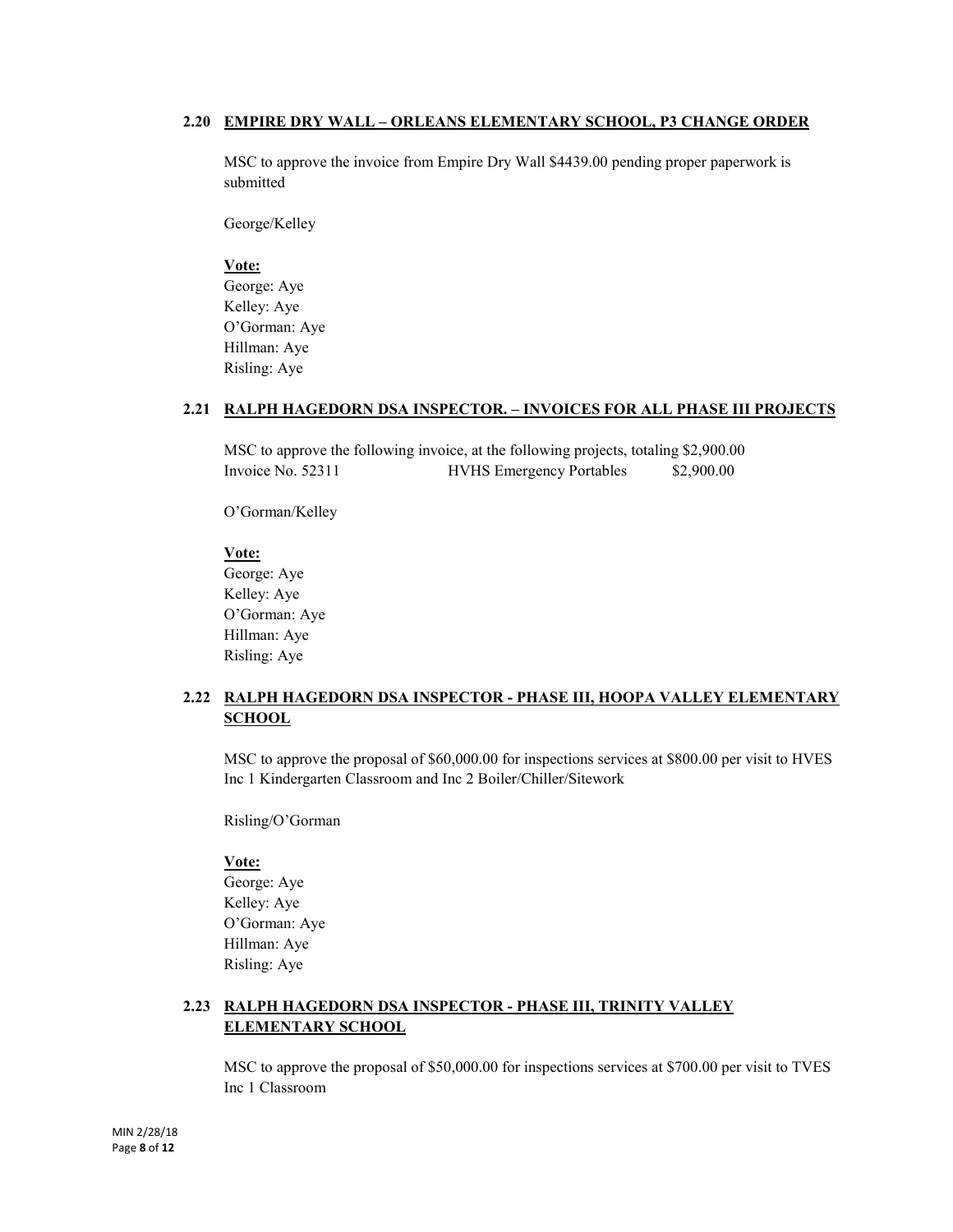#### **2.20 EMPIRE DRY WALL – ORLEANS ELEMENTARY SCHOOL, P3 CHANGE ORDER**

MSC to approve the invoice from Empire Dry Wall \$4439.00 pending proper paperwork is submitted

George/Kelley

**Vote:** George: Aye Kelley: Aye O'Gorman: Aye Hillman: Aye Risling: Aye

## **2.21 RALPH HAGEDORN DSA INSPECTOR. – INVOICES FOR ALL PHASE III PROJECTS**

MSC to approve the following invoice, at the following projects, totaling \$2,900.00 Invoice No. 52311 HVHS Emergency Portables \$2,900.00

O'Gorman/Kelley

#### **Vote:**

George: Aye Kelley: Aye O'Gorman: Aye Hillman: Aye Risling: Aye

## **2.22 RALPH HAGEDORN DSA INSPECTOR - PHASE III, HOOPA VALLEY ELEMENTARY SCHOOL**

MSC to approve the proposal of \$60,000.00 for inspections services at \$800.00 per visit to HVES Inc 1 Kindergarten Classroom and Inc 2 Boiler/Chiller/Sitework

Risling/O'Gorman

#### **Vote:**

George: Aye Kelley: Aye O'Gorman: Aye Hillman: Aye Risling: Aye

## **2.23 RALPH HAGEDORN DSA INSPECTOR - PHASE III, TRINITY VALLEY ELEMENTARY SCHOOL**

MSC to approve the proposal of \$50,000.00 for inspections services at \$700.00 per visit to TVES Inc 1 Classroom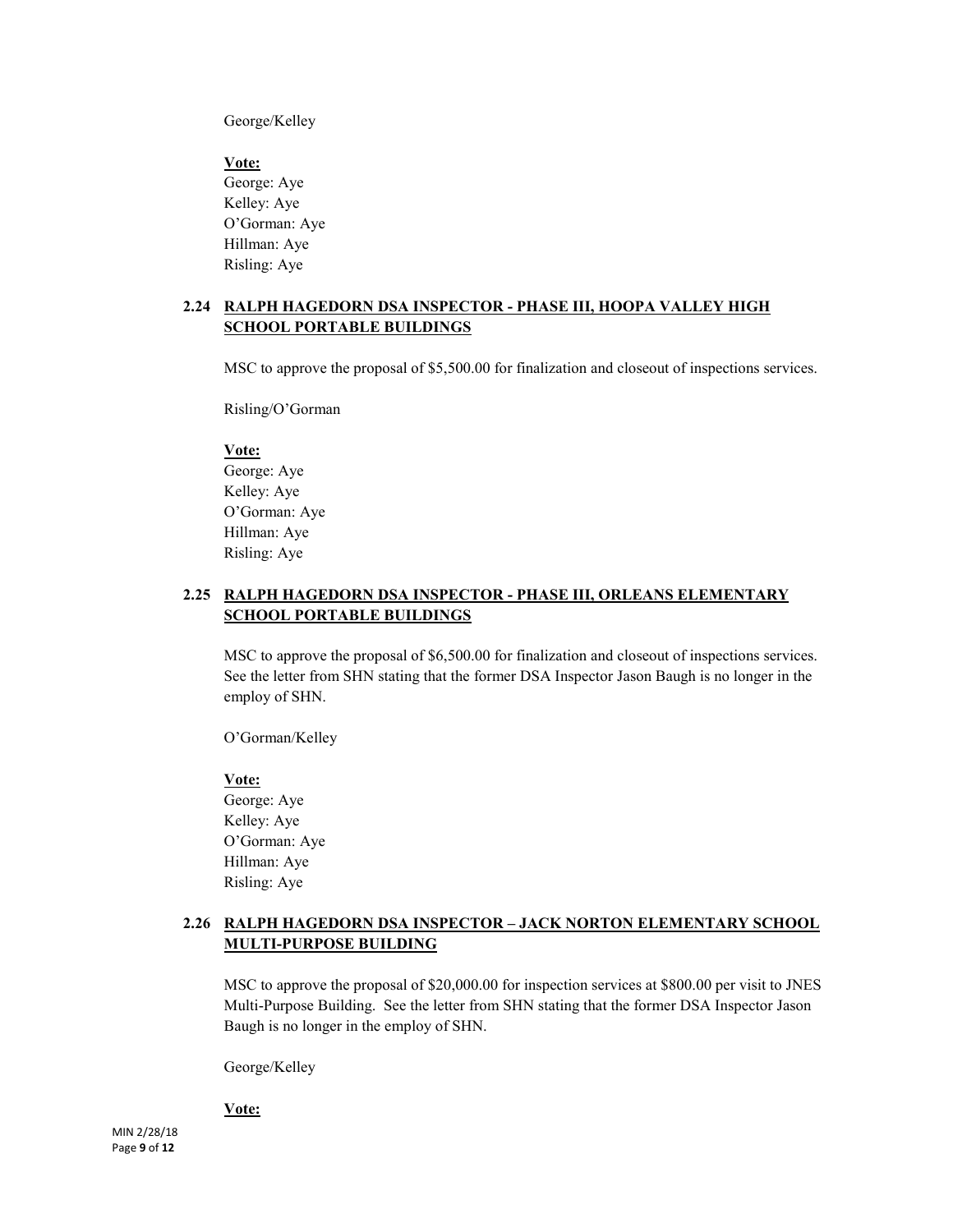George/Kelley

**Vote:** George: Aye Kelley: Aye O'Gorman: Aye Hillman: Aye Risling: Aye

## **2.24 RALPH HAGEDORN DSA INSPECTOR - PHASE III, HOOPA VALLEY HIGH SCHOOL PORTABLE BUILDINGS**

MSC to approve the proposal of \$5,500.00 for finalization and closeout of inspections services.

Risling/O'Gorman

**Vote:**

George: Aye Kelley: Aye O'Gorman: Aye Hillman: Aye Risling: Aye

## **2.25 RALPH HAGEDORN DSA INSPECTOR - PHASE III, ORLEANS ELEMENTARY SCHOOL PORTABLE BUILDINGS**

MSC to approve the proposal of \$6,500.00 for finalization and closeout of inspections services. See the letter from SHN stating that the former DSA Inspector Jason Baugh is no longer in the employ of SHN.

O'Gorman/Kelley

**Vote:** George: Aye Kelley: Aye O'Gorman: Aye Hillman: Aye Risling: Aye

## **2.26 RALPH HAGEDORN DSA INSPECTOR – JACK NORTON ELEMENTARY SCHOOL MULTI-PURPOSE BUILDING**

MSC to approve the proposal of \$20,000.00 for inspection services at \$800.00 per visit to JNES Multi-Purpose Building. See the letter from SHN stating that the former DSA Inspector Jason Baugh is no longer in the employ of SHN.

George/Kelley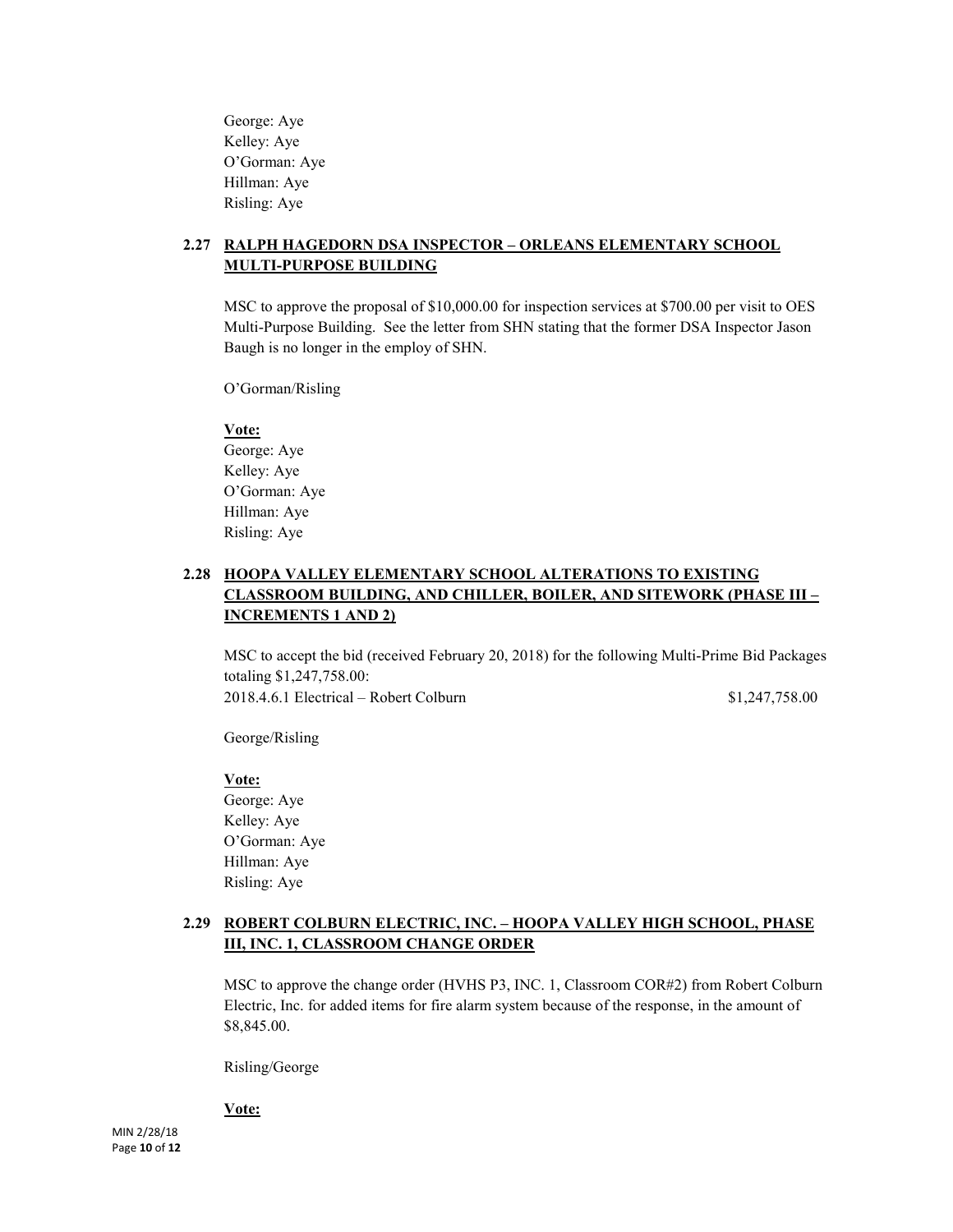George: Aye Kelley: Aye O'Gorman: Aye Hillman: Aye Risling: Aye

## **2.27 RALPH HAGEDORN DSA INSPECTOR – ORLEANS ELEMENTARY SCHOOL MULTI-PURPOSE BUILDING**

MSC to approve the proposal of \$10,000.00 for inspection services at \$700.00 per visit to OES Multi-Purpose Building. See the letter from SHN stating that the former DSA Inspector Jason Baugh is no longer in the employ of SHN.

O'Gorman/Risling

#### **Vote:**

George: Aye Kelley: Aye O'Gorman: Aye Hillman: Aye Risling: Aye

## **2.28 HOOPA VALLEY ELEMENTARY SCHOOL ALTERATIONS TO EXISTING CLASSROOM BUILDING, AND CHILLER, BOILER, AND SITEWORK (PHASE III – INCREMENTS 1 AND 2)**

MSC to accept the bid (received February 20, 2018) for the following Multi-Prime Bid Packages totaling \$1,247,758.00: 2018.4.6.1 Electrical – Robert Colburn \$1,247,758.00

George/Risling

**Vote:** George: Aye Kelley: Aye O'Gorman: Aye

Hillman: Aye Risling: Aye

## **2.29 ROBERT COLBURN ELECTRIC, INC. – HOOPA VALLEY HIGH SCHOOL, PHASE III, INC. 1, CLASSROOM CHANGE ORDER**

MSC to approve the change order (HVHS P3, INC. 1, Classroom COR#2) from Robert Colburn Electric, Inc. for added items for fire alarm system because of the response, in the amount of \$8,845.00.

Risling/George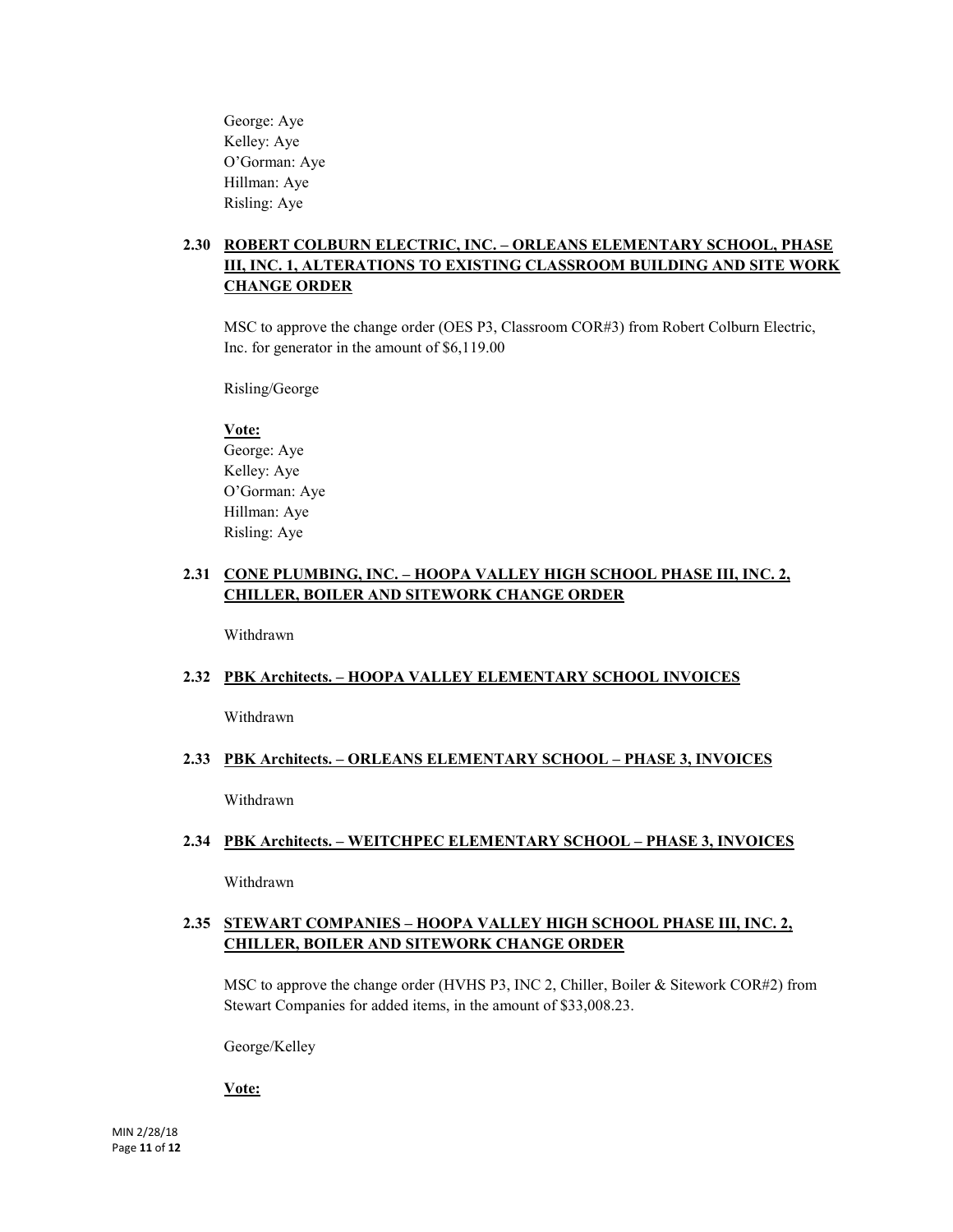George: Aye Kelley: Aye O'Gorman: Aye Hillman: Aye Risling: Aye

## **2.30 ROBERT COLBURN ELECTRIC, INC. – ORLEANS ELEMENTARY SCHOOL, PHASE III, INC. 1, ALTERATIONS TO EXISTING CLASSROOM BUILDING AND SITE WORK CHANGE ORDER**

MSC to approve the change order (OES P3, Classroom COR#3) from Robert Colburn Electric, Inc. for generator in the amount of \$6,119.00

Risling/George

#### **Vote:**

George: Aye Kelley: Aye O'Gorman: Aye Hillman: Aye Risling: Aye

## **2.31 CONE PLUMBING, INC. – HOOPA VALLEY HIGH SCHOOL PHASE III, INC. 2, CHILLER, BOILER AND SITEWORK CHANGE ORDER**

Withdrawn

#### **2.32 PBK Architects. – HOOPA VALLEY ELEMENTARY SCHOOL INVOICES**

Withdrawn

#### **2.33 PBK Architects. – ORLEANS ELEMENTARY SCHOOL – PHASE 3, INVOICES**

Withdrawn

#### **2.34 PBK Architects. – WEITCHPEC ELEMENTARY SCHOOL – PHASE 3, INVOICES**

Withdrawn

## **2.35 STEWART COMPANIES – HOOPA VALLEY HIGH SCHOOL PHASE III, INC. 2, CHILLER, BOILER AND SITEWORK CHANGE ORDER**

MSC to approve the change order (HVHS P3, INC 2, Chiller, Boiler & Sitework COR#2) from Stewart Companies for added items, in the amount of \$33,008.23.

George/Kelley